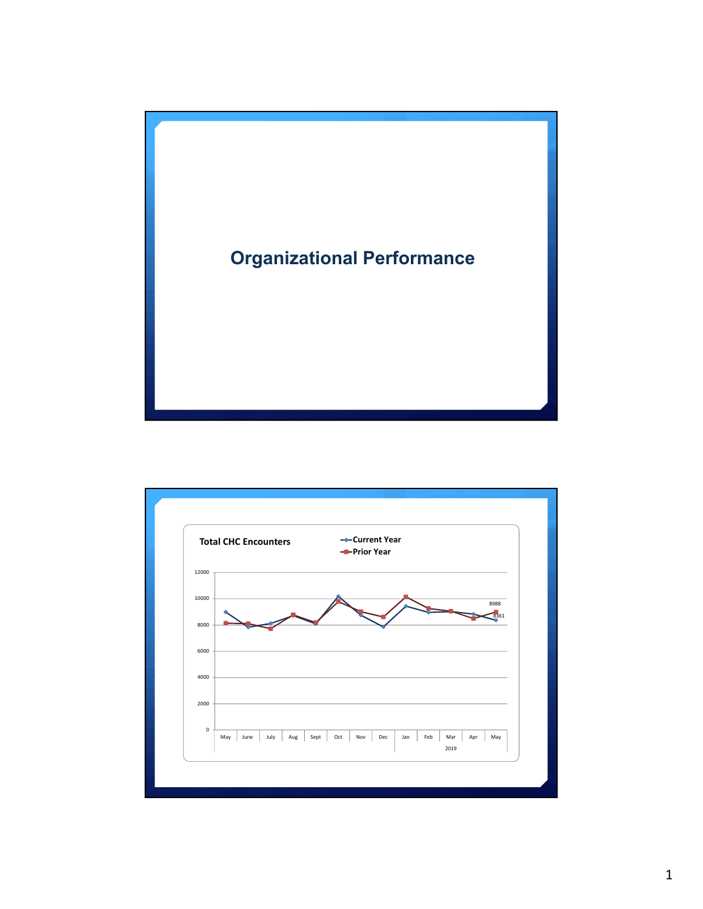

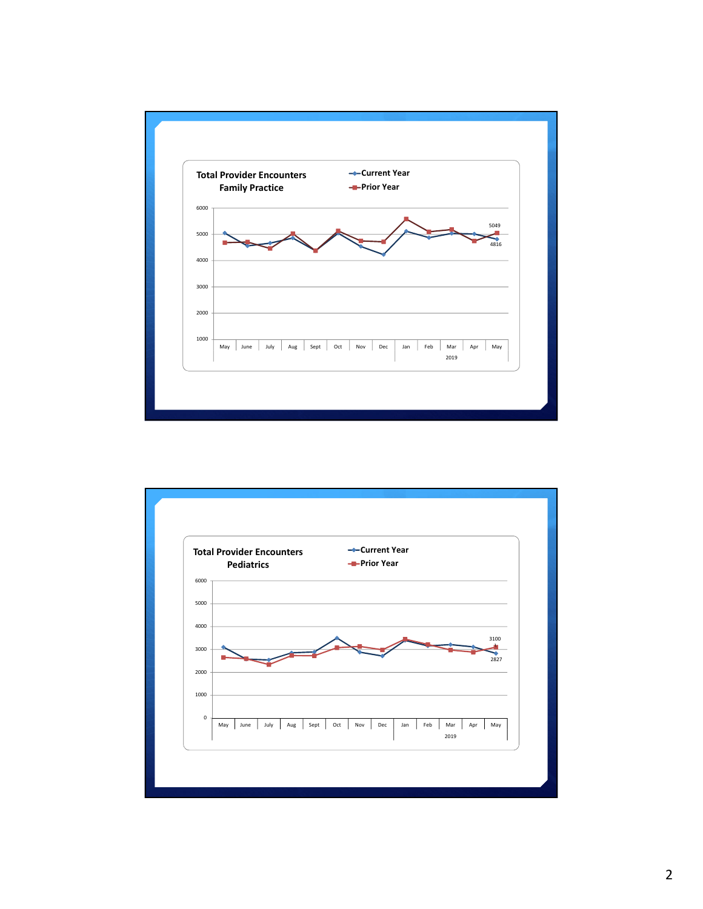

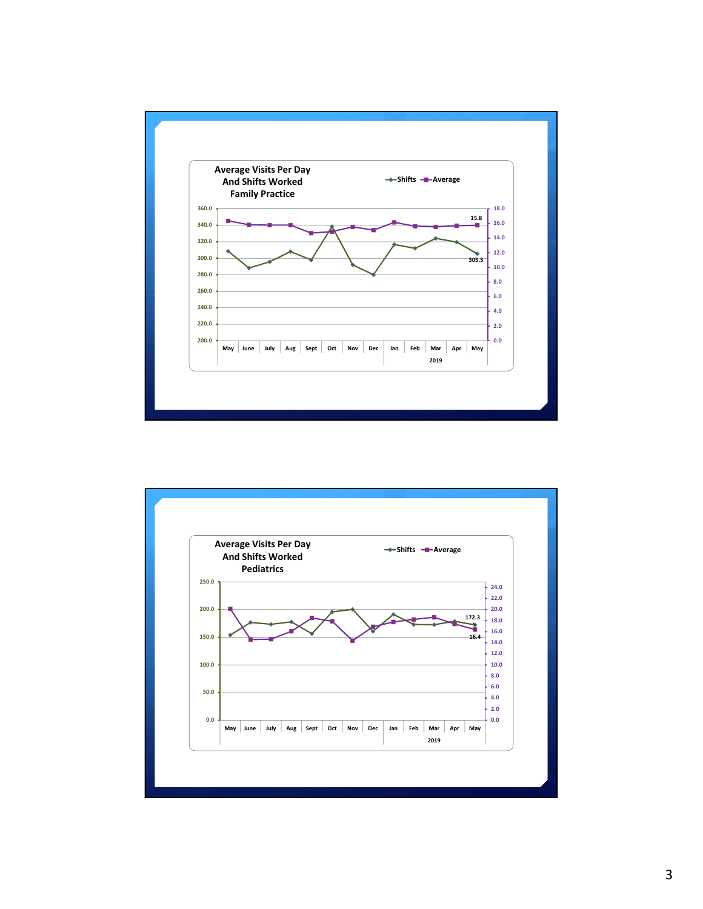

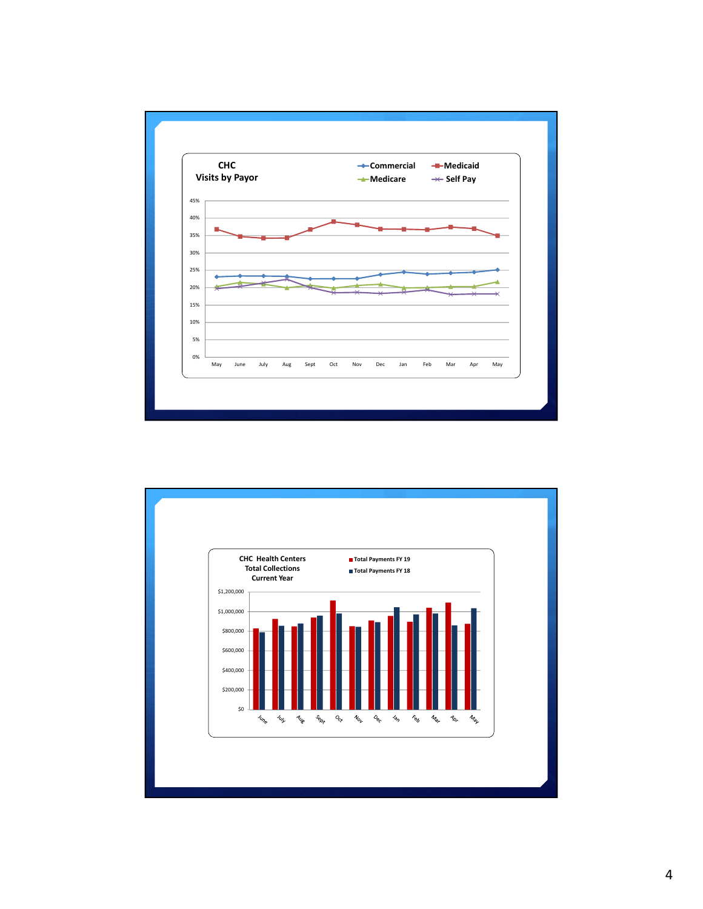

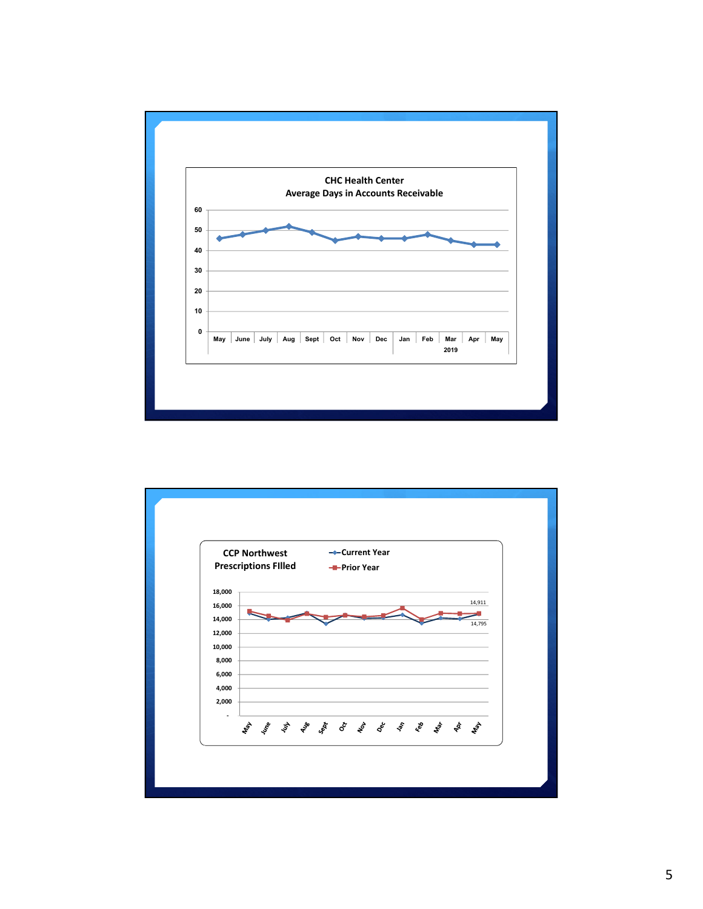